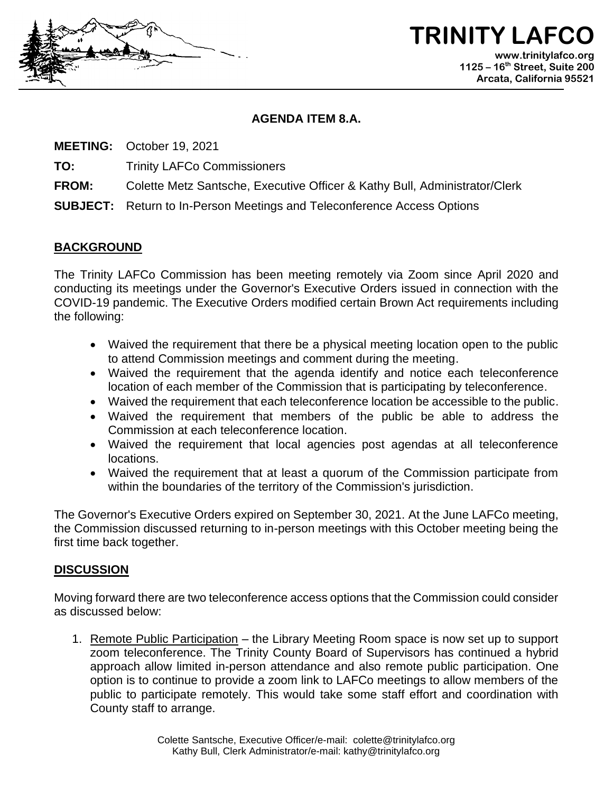

**TRINITY LAFC www.trinitylafco.org 1125 – 16th Street, Suite 200 Arcata, California 95521**

## **AGENDA ITEM 8.A.**

**MEETING:** October 19, 2021

**TO:** Trinity LAFCo Commissioners

**FROM:** Colette Metz Santsche, Executive Officer & Kathy Bull, Administrator/Clerk

**SUBJECT:** Return to In-Person Meetings and Teleconference Access Options

## **BACKGROUND**

The Trinity LAFCo Commission has been meeting remotely via Zoom since April 2020 and conducting its meetings under the Governor's Executive Orders issued in connection with the COVID-19 pandemic. The Executive Orders modified certain Brown Act requirements including the following:

- Waived the requirement that there be a physical meeting location open to the public to attend Commission meetings and comment during the meeting.
- Waived the requirement that the agenda identify and notice each teleconference location of each member of the Commission that is participating by teleconference.
- Waived the requirement that each teleconference location be accessible to the public.
- Waived the requirement that members of the public be able to address the Commission at each teleconference location.
- Waived the requirement that local agencies post agendas at all teleconference locations.
- Waived the requirement that at least a quorum of the Commission participate from within the boundaries of the territory of the Commission's jurisdiction.

The Governor's Executive Orders expired on September 30, 2021. At the June LAFCo meeting, the Commission discussed returning to in-person meetings with this October meeting being the first time back together.

## **DISCUSSION**

Moving forward there are two teleconference access options that the Commission could consider as discussed below:

1. Remote Public Participation – the Library Meeting Room space is now set up to support zoom teleconference. The Trinity County Board of Supervisors has continued a hybrid approach allow limited in-person attendance and also remote public participation. One option is to continue to provide a zoom link to LAFCo meetings to allow members of the public to participate remotely. This would take some staff effort and coordination with County staff to arrange.